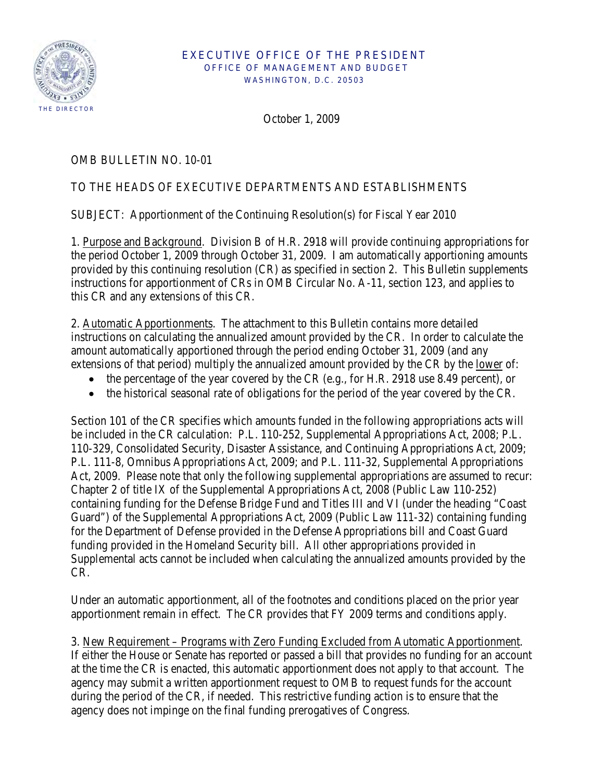

#### EXECUTIVE OFFICE OF THE PRESIDENT OFFICE OF MANAGEMENT AND BUDGET WASHINGTON, D.C. 20503

October 1, 2009

# OMB BULLETIN NO. 10-01

# TO THE HEADS OF EXECUTIVE DEPARTMENTS AND ESTABLISHMENTS

SUBJECT: Apportionment of the Continuing Resolution(s) for Fiscal Year 2010

1. Purpose and Background. Division B of H.R. 2918 will provide continuing appropriations for the period October 1, 2009 through October 31, 2009. I am automatically apportioning amounts provided by this continuing resolution (CR) as specified in section 2. This Bulletin supplements instructions for apportionment of CRs in OMB Circular No. A-11, section 123, and applies to this CR and any extensions of this CR.

2. Automatic Apportionments. The attachment to this Bulletin contains more detailed instructions on calculating the annualized amount provided by the CR. In order to calculate the amount automatically apportioned through the period ending October 31, 2009 (and any extensions of that period) multiply the annualized amount provided by the CR by the lower of:

- the percentage of the year covered by the CR (e.g., for H.R. 2918 use 8.49 percent), or
- the historical seasonal rate of obligations for the period of the year covered by the CR.

Section 101 of the CR specifies which amounts funded in the following appropriations acts will be included in the CR calculation: P.L. 110-252, Supplemental Appropriations Act, 2008; P.L. 110-329, Consolidated Security, Disaster Assistance, and Continuing Appropriations Act, 2009; P.L. 111-8, Omnibus Appropriations Act, 2009; and P.L. 111-32, Supplemental Appropriations Act, 2009. Please note that only the following supplemental appropriations are assumed to recur: Chapter 2 of title IX of the Supplemental Appropriations Act, 2008 (Public Law 110-252) containing funding for the Defense Bridge Fund and Titles III and VI (under the heading "Coast Guard") of the Supplemental Appropriations Act, 2009 (Public Law 111-32) containing funding for the Department of Defense provided in the Defense Appropriations bill and Coast Guard funding provided in the Homeland Security bill. All other appropriations provided in Supplemental acts cannot be included when calculating the annualized amounts provided by the CR.

Under an automatic apportionment, all of the footnotes and conditions placed on the prior year apportionment remain in effect. The CR provides that FY 2009 terms and conditions apply.

3. New Requirement – Programs with Zero Funding Excluded from Automatic Apportionment. If either the House or Senate has reported or passed a bill that provides no funding for an account at the time the CR is enacted, this automatic apportionment does not apply to that account. The agency may submit a written apportionment request to OMB to request funds for the account during the period of the CR, if needed. This restrictive funding action is to ensure that the agency does not impinge on the final funding prerogatives of Congress.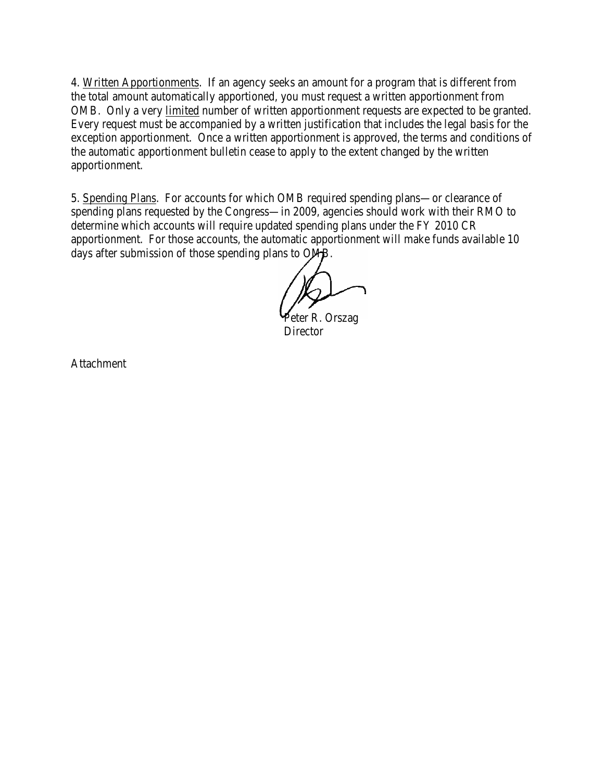4. Written Apportionments. If an agency seeks an amount for a program that is different from the total amount automatically apportioned, you must request a written apportionment from OMB. Only a very limited number of written apportionment requests are expected to be granted. Every request must be accompanied by a written justification that includes the legal basis for the exception apportionment. Once a written apportionment is approved, the terms and conditions of the automatic apportionment bulletin cease to apply to the extent changed by the written apportionment.

5. Spending Plans. For accounts for which OMB required spending plans—or clearance of spending plans requested by the Congress—in 2009, agencies should work with their RMO to determine which accounts will require updated spending plans under the FY 2010 CR apportionment. For those accounts, the automatic apportionment will make funds available 10 days after submission of those spending plans to OMB.

Peter R. Orszag **Director** 

Attachment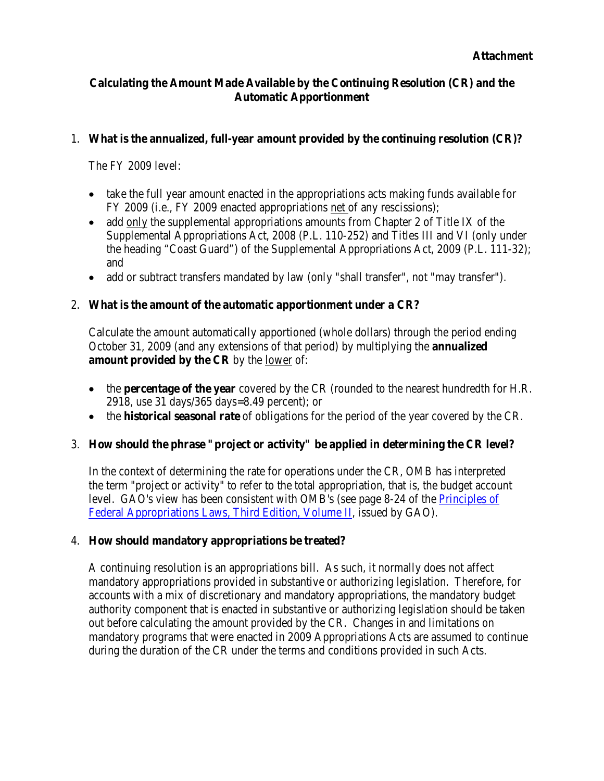## **Calculating the Amount Made Available by the Continuing Resolution (CR) and the Automatic Apportionment**

#### 1. **What is the annualized, full-year amount provided by the continuing resolution (CR)?**

The FY 2009 level:

- take the full year amount enacted in the appropriations acts making funds available for FY 2009 (i.e., FY 2009 enacted appropriations net of any rescissions);
- add only the supplemental appropriations amounts from Chapter 2 of Title IX of the Supplemental Appropriations Act, 2008 (P.L. 110-252) and Titles III and VI (only under the heading "Coast Guard") of the Supplemental Appropriations Act, 2009 (P.L. 111-32); and
- add or subtract transfers mandated by law (only "shall transfer", not "may transfer").

## 2. **What is the amount of the automatic apportionment under a CR?**

Calculate the amount automatically apportioned (whole dollars) through the period ending October 31, 2009 (and any extensions of that period) by multiplying the **annualized**  amount provided by the CR by the <u>lower</u> of:

- the **percentage of the year** covered by the CR (rounded to the nearest hundredth for H.R. 2918, use 31 days/365 days=8.49 percent); or
- the **historical seasonal rate** of obligations for the period of the year covered by the CR.

## 3. **How should the phrase "project or activity" be applied in determining the CR level?**

In the context of determining the rate for operations under the CR, OMB has interpreted the term "project or activity" to refer to the total appropriation, that is, the budget account level. GAO's view has been consistent with OMB's (see page 8-24 of the [Principles of](http://www.gao.gov/special.pubs/d06382sp.pdf)  [Federal Appropriations Laws, Third Edition, Volume II,](http://www.gao.gov/special.pubs/d06382sp.pdf) issued by GAO).

## 4. **How should mandatory appropriations be treated?**

A continuing resolution is an appropriations bill. As such, it normally does not affect mandatory appropriations provided in substantive or authorizing legislation. Therefore, for accounts with a mix of discretionary and mandatory appropriations, the mandatory budget authority component that is enacted in substantive or authorizing legislation should be taken out before calculating the amount provided by the CR. Changes in and limitations on mandatory programs that were enacted in 2009 Appropriations Acts are assumed to continue during the duration of the CR under the terms and conditions provided in such Acts.